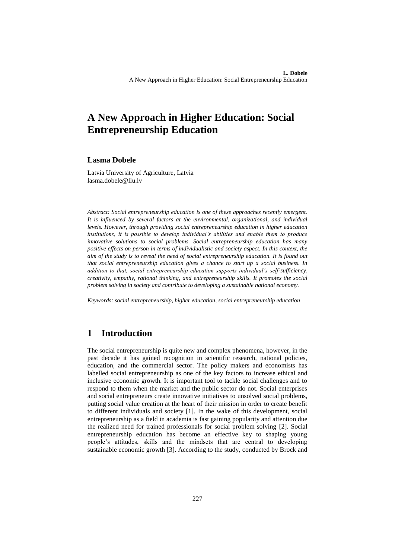# **A New Approach in Higher Education: Social Entrepreneurship Education**

#### **Lasma Dobele**

Latvia University of Agriculture, Latvia lasma.dobele@llu.lv

*Abstract: Social entrepreneurship education is one of these approaches recently emergent. It is influenced by several factors at the environmental, organizational, and individual levels. However, through providing social entrepreneurship education in higher education institutions, it is possible to develop individual's abilities and enable them to produce innovative solutions to social problems. Social entrepreneurship education has many positive effects on person in terms of individualistic and society aspect. In this context, the aim of the study is to reveal the need of social entrepreneurship education. It is found out that social entrepreneurship education gives a chance to start up a social business. In addition to that, social entrepreneurship education supports individual's self-sufficiency, creativity, empathy, rational thinking, and entrepreneurship skills. It promotes the social problem solving in society and contribute to developing a sustainable national economy.*

*Keywords: social entrepreneurship, higher education, social entrepreneurship education*

### **1 Introduction**

The social entrepreneurship is quite new and complex phenomena, however, in the past decade it has gained recognition in scientific research, national policies, education, and the commercial sector. The policy makers and economists has labelled social entrepreneurship as one of the key factors to increase ethical and inclusive economic growth. It is important tool to tackle social challenges and to respond to them when the market and the public sector do not. Social enterprises and social entrepreneurs create innovative initiatives to unsolved social problems, putting social value creation at the heart of their mission in order to create benefit to different individuals and society [1]. In the wake of this development, social entrepreneurship as a field in academia is fast gaining popularity and attention due the realized need for trained professionals for social problem solving [2]. Social entrepreneurship education has become an effective key to shaping young people's attitudes, skills and the mindsets that are central to developing sustainable economic growth [3]. According to the study, conducted by Brock and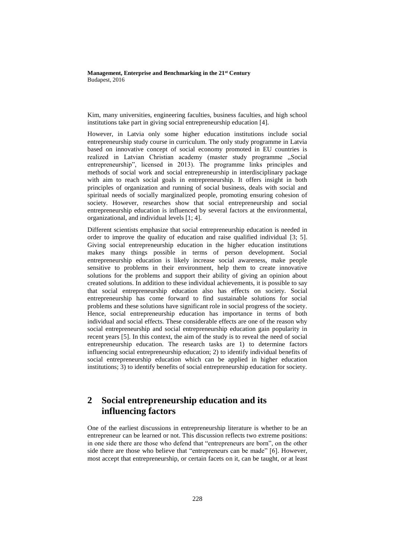Kim, many universities, engineering faculties, business faculties, and high school institutions take part in giving social entrepreneurship education [4].

However, in Latvia only some higher education institutions include social entrepreneurship study course in curriculum. The only study programme in Latvia based on innovative concept of social economy promoted in EU countries is realized in Latvian Christian academy (master study programme "Social entrepreneurship", licensed in 2013). The programme links principles and methods of social work and social entrepreneurship in interdisciplinary package with aim to reach social goals in entrepreneurship. It offers insight in both principles of organization and running of social business, deals with social and spiritual needs of socially marginalized people, promoting ensuring cohesion of society. However, researches show that social entrepreneurship and social entrepreneurship education is influenced by several factors at the environmental, organizational, and individual levels [1; 4].

Different scientists emphasize that social entrepreneurship education is needed in order to improve the quality of education and raise qualified individual [3; 5]. Giving social entrepreneurship education in the higher education institutions makes many things possible in terms of person development. Social entrepreneurship education is likely increase social awareness, make people sensitive to problems in their environment, help them to create innovative solutions for the problems and support their ability of giving an opinion about created solutions. In addition to these individual achievements, it is possible to say that social entrepreneurship education also has effects on society. Social entrepreneurship has come forward to find sustainable solutions for social problems and these solutions have significant role in social progress of the society. Hence, social entrepreneurship education has importance in terms of both individual and social effects. These considerable effects are one of the reason why social entrepreneurship and social entrepreneurship education gain popularity in recent years [5]. In this context, the aim of the study is to reveal the need of social entrepreneurship education. The research tasks are 1) to determine factors influencing social entrepreneurship education; 2) to identify individual benefits of social entrepreneurship education which can be applied in higher education institutions; 3) to identify benefits of social entrepreneurship education for society.

## **2 Social entrepreneurship education and its influencing factors**

One of the earliest discussions in entrepreneurship literature is whether to be an entrepreneur can be learned or not. This discussion reflects two extreme positions: in one side there are those who defend that "entrepreneurs are born", on the other side there are those who believe that "entrepreneurs can be made" [6]. However, most accept that entrepreneurship, or certain facets on it, can be taught, or at least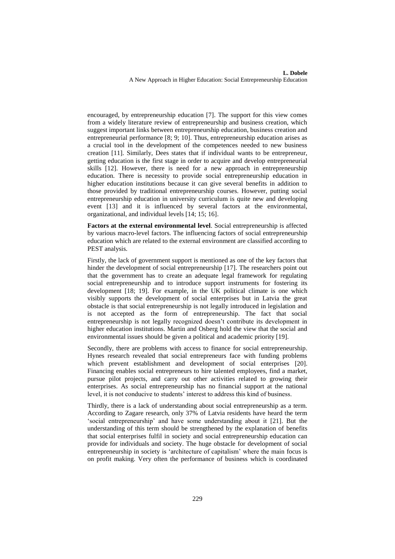encouraged, by entrepreneurship education [7]. The support for this view comes from a widely literature review of entrepreneurship and business creation, which suggest important links between entrepreneurship education, business creation and entrepreneurial performance [8; 9; 10]. Thus, entrepreneurship education arises as a crucial tool in the development of the competences needed to new business creation [11]. Similarly, Dees states that if individual wants to be entrepreneur, getting education is the first stage in order to acquire and develop entrepreneurial skills [12]. However, there is need for a new approach in entrepreneurship education. There is necessity to provide social entrepreneurship education in higher education institutions because it can give several benefits in addition to those provided by traditional entrepreneurship courses. However, putting social entrepreneurship education in university curriculum is quite new and developing event [13] and it is influenced by several factors at the environmental, organizational, and individual levels [14; 15; 16].

**Factors at the external environmental level**. Social entrepreneurship is affected by various macro-level factors. The influencing factors of social entrepreneurship education which are related to the external environment are classified according to PEST analysis.

Firstly, the lack of government support is mentioned as one of the key factors that hinder the development of social entrepreneurship [17]. The researchers point out that the government has to create an adequate legal framework for regulating social entrepreneurship and to introduce support instruments for fostering its development [18; 19]. For example, in the UK political climate is one which visibly supports the development of social enterprises but in Latvia the great obstacle is that social entrepreneurship is not legally introduced in legislation and is not accepted as the form of entrepreneurship. The fact that social entrepreneurship is not legally recognized doesn't contribute its development in higher education institutions. Martin and Osberg hold the view that the social and environmental issues should be given a political and academic priority [19].

Secondly, there are problems with access to finance for social entrepreneurship. Hynes research revealed that social entrepreneurs face with funding problems which prevent establishment and development of social enterprises [20]. Financing enables social entrepreneurs to hire talented employees, find a market, pursue pilot projects, and carry out other activities related to growing their enterprises. As social entrepreneurship has no financial support at the national level, it is not conducive to students' interest to address this kind of business.

Thirdly, there is a lack of understanding about social entrepreneurship as a term. According to Zagare research, only 37% of Latvia residents have heard the term 'social entrepreneurship' and have some understanding about it [21]. But the understanding of this term should be strengthened by the explanation of benefits that social enterprises fulfil in society and social entrepreneurship education can provide for individuals and society. The huge obstacle for development of social entrepreneurship in society is 'architecture of capitalism' where the main focus is on profit making. Very often the performance of business which is coordinated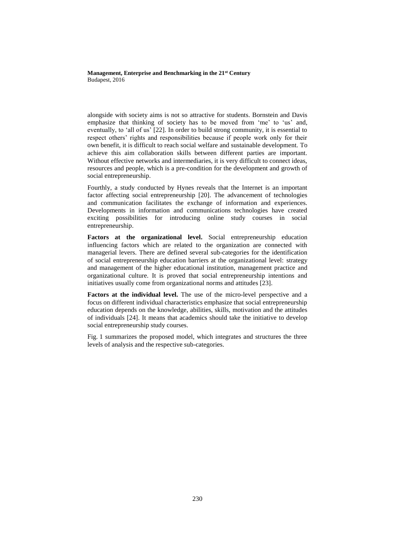alongside with society aims is not so attractive for students. Bornstein and Davis emphasize that thinking of society has to be moved from 'me' to 'us' and, eventually, to 'all of us' [22]. In order to build strong community, it is essential to respect others' rights and responsibilities because if people work only for their own benefit, it is difficult to reach social welfare and sustainable development. To achieve this aim collaboration skills between different parties are important. Without effective networks and intermediaries, it is very difficult to connect ideas, resources and people, which is a pre-condition for the development and growth of social entrepreneurship.

Fourthly, a study conducted by Hynes reveals that the Internet is an important factor affecting social entrepreneurship [20]. The advancement of technologies and communication facilitates the exchange of information and experiences. Developments in information and communications technologies have created exciting possibilities for introducing online study courses in social entrepreneurship.

**Factors at the organizational level.** Social entrepreneurship education influencing factors which are related to the organization are connected with managerial levers. There are defined several sub-categories for the identification of social entrepreneurship education barriers at the organizational level: strategy and management of the higher educational institution, management practice and organizational culture. It is proved that social entrepreneurship intentions and initiatives usually come from organizational norms and attitudes [23].

**Factors at the individual level.** The use of the micro-level perspective and a focus on different individual characteristics emphasize that social entrepreneurship education depends on the knowledge, abilities, skills, motivation and the attitudes of individuals [24]. It means that academics should take the initiative to develop social entrepreneurship study courses.

Fig. 1 summarizes the proposed model, which integrates and structures the three levels of analysis and the respective sub-categories.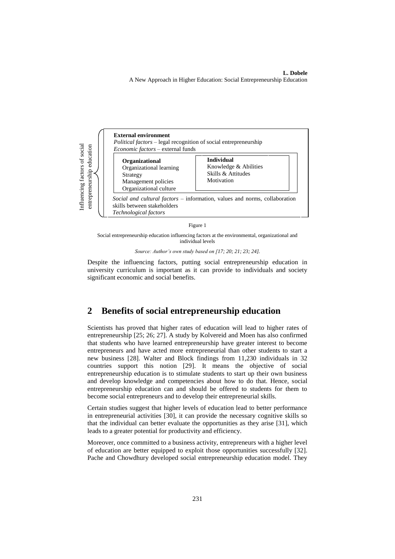**L. Dobele**  A New Approach in Higher Education: Social Entrepreneurship Education



Figure 1

Social entrepreneurship education influencing factors at the environmental, organizational and individual levels

*Source: Author's own study based on [17; 20; 21; 23; 24].*

Despite the influencing factors, putting social entrepreneurship education in university curriculum is important as it can provide to individuals and society significant economic and social benefits.

### **2 Benefits of social entrepreneurship education**

Scientists has proved that higher rates of education will lead to higher rates of entrepreneurship [25; 26; 27]. A study by Kolvereid and Moen has also confirmed that students who have learned entrepreneurship have greater interest to become entrepreneurs and have acted more entrepreneurial than other students to start a new business [28]. Walter and Block findings from 11,230 individuals in 32 countries support this notion [29]. It means the objective of social entrepreneurship education is to stimulate students to start up their own business and develop knowledge and competencies about how to do that. Hence, social entrepreneurship education can and should be offered to students for them to become social entrepreneurs and to develop their entrepreneurial skills.

Certain studies suggest that higher levels of education lead to better performance in entrepreneurial activities [30], it can provide the necessary cognitive skills so that the individual can better evaluate the opportunities as they arise [31], which leads to a greater potential for productivity and efficiency.

Moreover, once committed to a business activity, entrepreneurs with a higher level of education are better equipped to exploit those opportunities successfully [32]. Pache and Chowdhury developed social entrepreneurship education model. They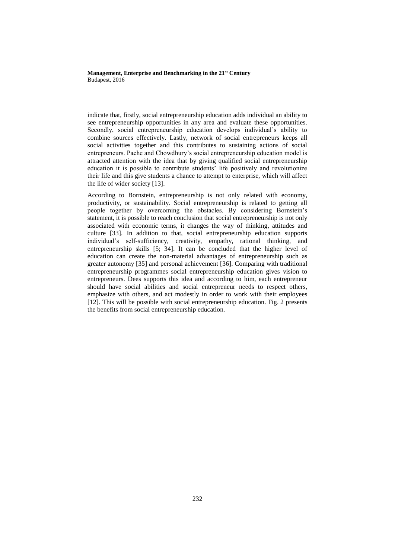indicate that, firstly, social entrepreneurship education adds individual an ability to see entrepreneurship opportunities in any area and evaluate these opportunities. Secondly, social entrepreneurship education develops individual's ability to combine sources effectively. Lastly, network of social entrepreneurs keeps all social activities together and this contributes to sustaining actions of social entrepreneurs. Pache and Chowdhury's social entrepreneurship education model is attracted attention with the idea that by giving qualified social entrepreneurship education it is possible to contribute students' life positively and revolutionize their life and this give students a chance to attempt to enterprise, which will affect the life of wider society [13].

According to Bornstein, entrepreneurship is not only related with economy, productivity, or sustainability. Social entrepreneurship is related to getting all people together by overcoming the obstacles. By considering Bornstein's statement, it is possible to reach conclusion that social entrepreneurship is not only associated with economic terms, it changes the way of thinking, attitudes and culture [33]. In addition to that, social entrepreneurship education supports individual's self-sufficiency, creativity, empathy, rational thinking, and entrepreneurship skills [5; 34]. It can be concluded that the higher level of education can create the non-material advantages of entrepreneurship such as greater autonomy [35] and personal achievement [36]. Comparing with traditional entrepreneurship programmes social entrepreneurship education gives vision to entrepreneurs. Dees supports this idea and according to him, each entrepreneur should have social abilities and social entrepreneur needs to respect others, emphasize with others, and act modestly in order to work with their employees [12]. This will be possible with social entrepreneurship education. Fig. 2 presents the benefits from social entrepreneurship education.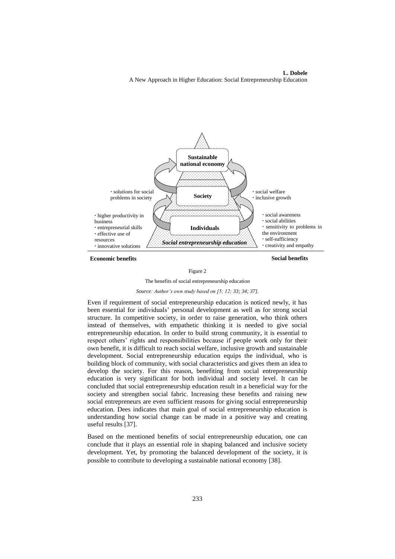**L. Dobele**  A New Approach in Higher Education: Social Entrepreneurship Education



**Economic benefits** Social benefits

#### Figure 2



#### *Source: Author's own study based on [5; 12; 33; 34; 37].*

Even if requirement of social entrepreneurship education is noticed newly, it has been essential for individuals' personal development as well as for strong social structure. In competitive society, in order to raise generation, who think others instead of themselves, with empathetic thinking it is needed to give social entrepreneurship education. In order to build strong community, it is essential to respect others' rights and responsibilities because if people work only for their own benefit, it is difficult to reach social welfare, inclusive growth and sustainable development. Social entrepreneurship education equips the individual, who is building block of community, with social characteristics and gives them an idea to develop the society. For this reason, benefiting from social entrepreneurship education is very significant for both individual and society level. It can be concluded that social entrepreneurship education result in a beneficial way for the society and strengthen social fabric. Increasing these benefits and raising new social entrepreneurs are even sufficient reasons for giving social entrepreneurship education. Dees indicates that main goal of social entrepreneurship education is understanding how social change can be made in a positive way and creating useful results [37].

Based on the mentioned benefits of social entrepreneurship education, one can conclude that it plays an essential role in shaping balanced and inclusive society development. Yet, by promoting the balanced development of the society, it is possible to contribute to developing a sustainable national economy [38].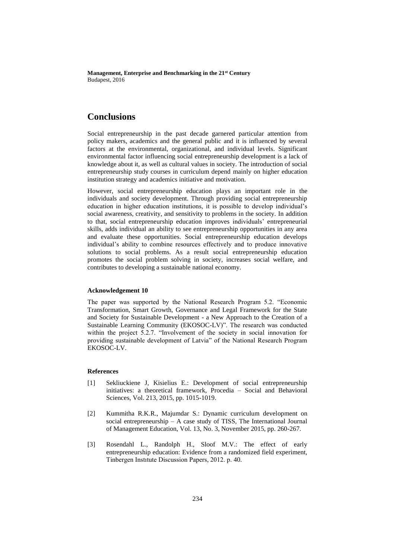## **Conclusions**

Social entrepreneurship in the past decade garnered particular attention from policy makers, academics and the general public and it is influenced by several factors at the environmental, organizational, and individual levels. Significant environmental factor influencing social entrepreneurship development is a lack of knowledge about it, as well as cultural values in society. The introduction of social entrepreneurship study courses in curriculum depend mainly on higher education institution strategy and academics initiative and motivation.

However, social entrepreneurship education plays an important role in the individuals and society development. Through providing social entrepreneurship education in higher education institutions, it is possible to develop individual's social awareness, creativity, and sensitivity to problems in the society. In addition to that, social entrepreneurship education improves individuals' entrepreneurial skills, adds individual an ability to see entrepreneurship opportunities in any area and evaluate these opportunities. Social entrepreneurship education develops individual's ability to combine resources effectively and to produce innovative solutions to social problems. As a result social entrepreneurship education promotes the social problem solving in society, increases social welfare, and contributes to developing a sustainable national economy.

#### **Acknowledgement 10**

The paper was supported by the National Research Program 5.2. "Economic Transformation, Smart Growth, Governance and Legal Framework for the State and Society for Sustainable Development - a New Approach to the Creation of a Sustainable Learning Community (EKOSOC-LV)". The research was conducted within the project 5.2.7. "Involvement of the society in social innovation for providing sustainable development of Latvia" of the National Research Program EKOSOC-LV.

#### **References**

- [1] Sekliuckiene J, Kisielius E.: Development of social entrepreneurship initiatives: a theoretical framework, Procedia – Social and Behavioral Sciences, Vol. 213, 2015, pp. 1015-1019.
- [2] Kummitha R.K.R., Majumdar S.: Dynamic curriculum development on social entrepreneurship – A case study of TISS, The International Journal of Management Education, Vol. 13, No. 3, November 2015, pp. 260-267.
- [3] Rosendahl L., Randolph H., Sloof M.V.: The effect of early entrepreneurship education: Evidence from a randomized field experiment, Tinbergen Instıtute Discussion Papers, 2012. p. 40.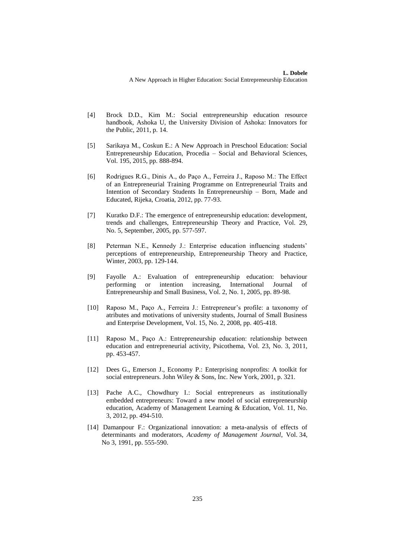- [4] Brock D.D., Kim M.: Social entrepreneurship education resource handbook, Ashoka U, the University Division of Ashoka: Innovators for the Public, 2011, p. 14.
- [5] Sarikaya M., Coskun E.: A New Approach in Preschool Education: Social Entrepreneurship Education, Procedia – Social and Behavioral Sciences, Vol. 195, 2015, pp. 888-894.
- [6] Rodrigues R.G., Dinis A., do Paço A., Ferreira J., Raposo M.: The Effect of an Entrepreneurial Training Programme on Entrepreneurial Traits and Intention of Secondary Students In Entrepreneurship – Born, Made and Educated, Rijeka, Croatia, 2012, pp. 77-93.
- [7] Kuratko D.F.: The emergence of entrepreneurship education: development, trends and challenges, Entrepreneurship Theory and Practice, Vol. 29, No. 5, September, 2005, pp. 577-597.
- [8] Peterman N.E., Kennedy J.: Enterprise education influencing students' perceptions of entrepreneurship, Entrepreneurship Theory and Practice, Winter, 2003, pp. 129-144.
- [9] Fayolle A.: Evaluation of entrepreneurship education: behaviour performing or intention increasing, International Journal of Entrepreneurship and Small Business, Vol. 2, No. 1, 2005, pp. 89-98.
- [10] Raposo M., Paço A., Ferreira J.: Entrepreneur's profile: a taxonomy of atributes and motivations of university students, Journal of Small Business and Enterprise Development, Vol. 15, No. 2, 2008, pp. 405-418.
- [11] Raposo M., Paço A.: Entrepreneurship education: relationship between education and entrepreneurial activity, Psicothema, Vol. 23, No. 3, 2011, pp. 453-457.
- [12] Dees G., Emerson J., Economy P.: Enterprising nonprofits: A toolkit for social entrepreneurs. John Wiley & Sons, Inc. New York, 2001, p. 321.
- [13] Pache A.C., Chowdhury I.: Social entrepreneurs as institutionally embedded entrepreneurs: Toward a new model of social entrepreneurship education, Academy of Management Learning & Education, Vol. 11, No. 3, 2012, pp. 494-510.
- [14] Damanpour F.: Organizational innovation: a meta-analysis of effects of determinants and moderators, *Academy of Management Journal*, Vol. 34, No 3, 1991, pp. 555-590.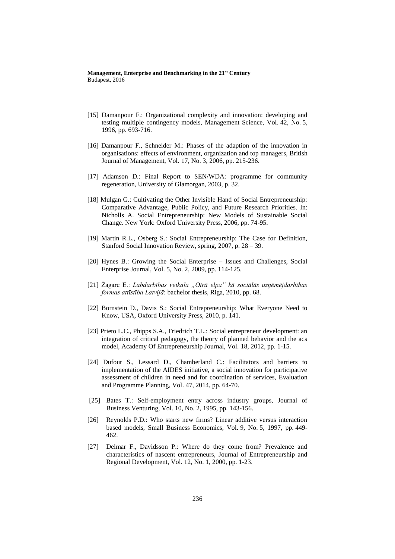- [15] Damanpour F.: Organizational complexity and innovation: developing and testing multiple contingency models, Management Science, Vol. 42, No. 5, 1996, pp. 693-716.
- [16] Damanpour F., Schneider M.: Phases of the adaption of the innovation in organisations: effects of environment, organization and top managers, British Journal of Management, Vol. 17, No. 3, 2006, pp. 215-236.
- [17] Adamson D.: Final Report to SEN/WDA: programme for community regeneration, University of Glamorgan, 2003, p. 32.
- [18] Mulgan G.: Cultivating the Other Invisible Hand of Social Entrepreneurship: Comparative Advantage, Public Policy, and Future Research Priorities. In: Nicholls A. Social Entrepreneurship: New Models of Sustainable Social Change. New York: Oxford University Press, 2006, pp. 74-95.
- [19] Martin R.L., Osberg S.: Social Entrepreneurship: The Case for Definition, Stanford Social Innovation Review, spring, 2007, p. 28 – 39.
- [20] Hynes B.: Growing the Social Enterprise Issues and Challenges, Social Enterprise Journal, Vol. 5, No. 2, 2009, pp. 114-125.
- [21] Žagare E.: *Labdarbības veikala "Otrā elpa" kā sociālās uzņēmējdarbības formas attīstība Latvijā*: bachelor thesis, Riga, 2010, pp. 68.
- [22] Bornstein D., Davis S.: Social Entrepreneurship: What Everyone Need to Know, USA, Oxford University Press, 2010, p. 141.
- [23] Prieto L.C., Phipps S.A., Friedrich T.L.: Social entrepreneur development: an integration of critical pedagogy, the theory of planned behavior and the acs model, Academy Of Entrepreneurship Journal, Vol. 18, 2012, pp. 1-15.
- [24] Dufour S., Lessard D., Chamberland C.: Facilitators and barriers to implementation of the AIDES initiative, a social innovation for participative assessment of children in need and for coordination of services, Evaluation and Programme Planning, Vol. 47, 2014, pp. 64-70.
- [25] Bates T.: Self-employment entry across industry groups, Journal of Business Venturing, Vol. 10, No. 2, 1995, pp. 143-156.
- [26] Reynolds P.D.: Who starts new firms? Linear additive versus interaction based models, Small Business Economics, Vol. 9, No. 5, 1997, pp. 449- 462.
- [27] Delmar F., Davidsson P.: Where do they come from? Prevalence and characteristics of nascent entrepreneurs, Journal of Entrepreneurship and Regional Development, Vol. 12, No. 1, 2000, pp. 1-23.